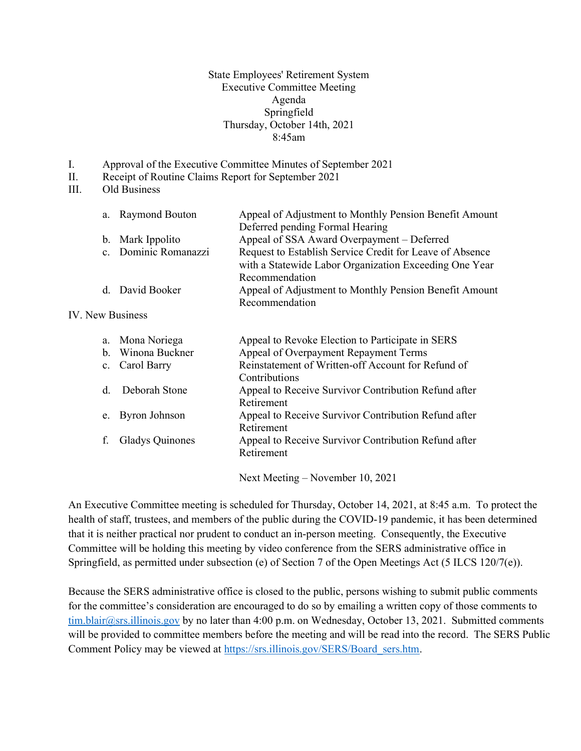State Employees' Retirement System Executive Committee Meeting Agenda Springfield Thursday, October 14th, 2021 8:45am

- I. Approval of the Executive Committee Minutes of September 2021
- II. Receipt of Routine Claims Report for September 2021
- III. Old Business

| a. Raymond Bouton    | Appeal of Adjustment to Monthly Pension Benefit Amount   |  |  |  |
|----------------------|----------------------------------------------------------|--|--|--|
|                      | Deferred pending Formal Hearing                          |  |  |  |
| b. Mark Ippolito     | Appeal of SSA Award Overpayment – Deferred               |  |  |  |
| c. Dominic Romanazzi | Request to Establish Service Credit for Leave of Absence |  |  |  |
|                      | with a Statewide Labor Organization Exceeding One Year   |  |  |  |
|                      | Recommendation                                           |  |  |  |
| d. David Booker      | Appeal of Adjustment to Monthly Pension Benefit Amount   |  |  |  |
|                      | Recommendation                                           |  |  |  |

## IV. New Business

|         | a. Mona Noriega        | Appeal to Revoke Election to Participate in SERS                    |
|---------|------------------------|---------------------------------------------------------------------|
|         | b. Winona Buckner      | Appeal of Overpayment Repayment Terms                               |
|         | c. Carol Barry         | Reinstatement of Written-off Account for Refund of<br>Contributions |
| $d_{-}$ | Deborah Stone          | Appeal to Receive Survivor Contribution Refund after<br>Retirement  |
|         | e. Byron Johnson       | Appeal to Receive Survivor Contribution Refund after<br>Retirement  |
|         | <b>Gladys Quinones</b> | Appeal to Receive Survivor Contribution Refund after<br>Retirement  |

Next Meeting – November 10, 2021

An Executive Committee meeting is scheduled for Thursday, October 14, 2021, at 8:45 a.m. To protect the health of staff, trustees, and members of the public during the COVID-19 pandemic, it has been determined that it is neither practical nor prudent to conduct an in-person meeting. Consequently, the Executive Committee will be holding this meeting by video conference from the SERS administrative office in Springfield, as permitted under subsection (e) of Section 7 of the Open Meetings Act (5 ILCS 120/7(e)).

Because the SERS administrative office is closed to the public, persons wishing to submit public comments for the committee's consideration are encouraged to do so by emailing a written copy of those comments to tim.blair@srs.illinois.gov by no later than 4:00 p.m. on Wednesday, October 13, 2021. Submitted comments will be provided to committee members before the meeting and will be read into the record. The SERS Public Comment Policy may be viewed at https://srs.illinois.gov/SERS/Board\_sers.htm.